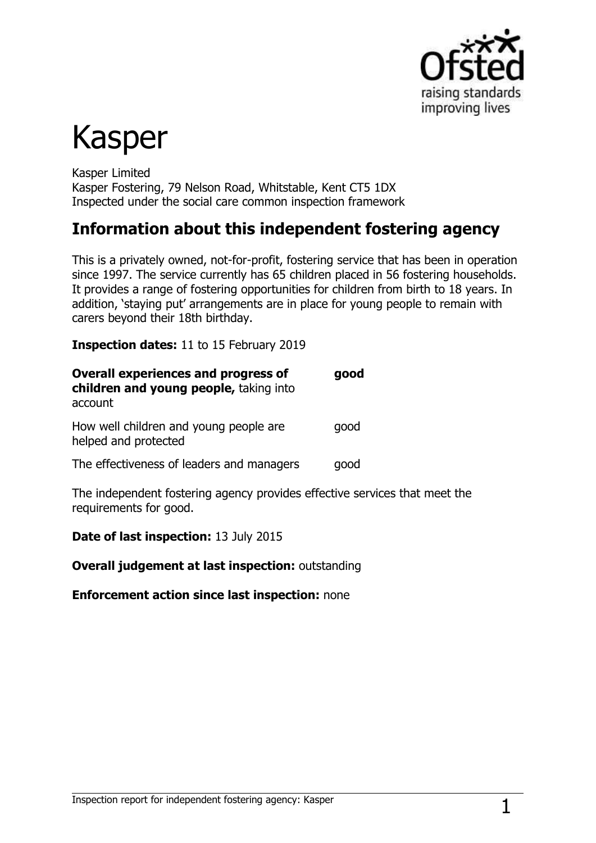

# Kasper

Kasper Limited Kasper Fostering, 79 Nelson Road, Whitstable, Kent CT5 1DX Inspected under the social care common inspection framework

# **Information about this independent fostering agency**

This is a privately owned, not-for-profit, fostering service that has been in operation since 1997. The service currently has 65 children placed in 56 fostering households. It provides a range of fostering opportunities for children from birth to 18 years. In addition, 'staying put' arrangements are in place for young people to remain with carers beyond their 18th birthday.

**Inspection dates:** 11 to 15 February 2019

| <b>Overall experiences and progress of</b><br>children and young people, taking into<br>account | good |
|-------------------------------------------------------------------------------------------------|------|
| How well children and young people are<br>helped and protected                                  | good |
| The effectiveness of leaders and managers                                                       | qood |

The independent fostering agency provides effective services that meet the requirements for good.

**Date of last inspection:** 13 July 2015

**Overall judgement at last inspection:** outstanding

**Enforcement action since last inspection:** none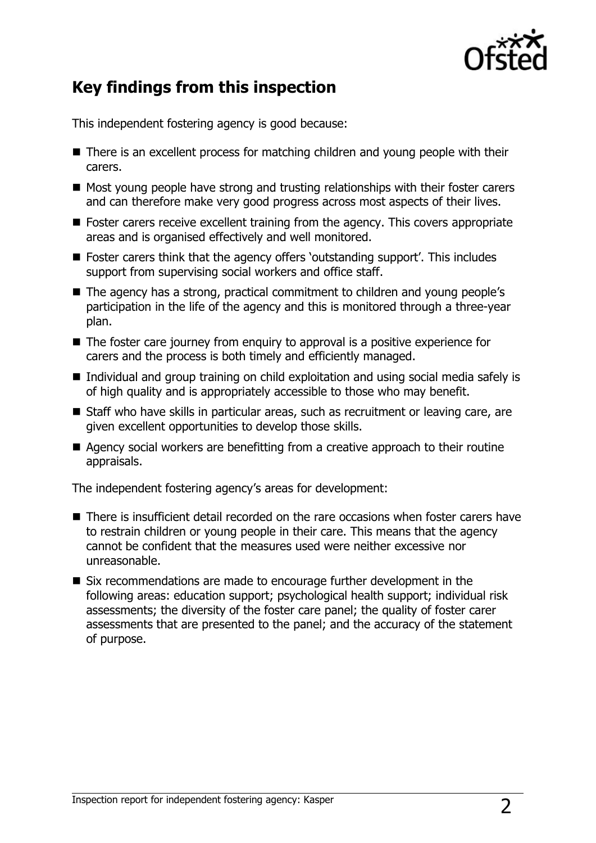

# **Key findings from this inspection**

This independent fostering agency is good because:

- There is an excellent process for matching children and young people with their carers.
- Most young people have strong and trusting relationships with their foster carers and can therefore make very good progress across most aspects of their lives.
- $\blacksquare$  Foster carers receive excellent training from the agency. This covers appropriate areas and is organised effectively and well monitored.
- Foster carers think that the agency offers 'outstanding support'. This includes support from supervising social workers and office staff.
- The agency has a strong, practical commitment to children and young people's participation in the life of the agency and this is monitored through a three-year plan.
- The foster care journey from enquiry to approval is a positive experience for carers and the process is both timely and efficiently managed.
- Individual and group training on child exploitation and using social media safely is of high quality and is appropriately accessible to those who may benefit.
- Staff who have skills in particular areas, such as recruitment or leaving care, are given excellent opportunities to develop those skills.
- Agency social workers are benefitting from a creative approach to their routine appraisals.

The independent fostering agency's areas for development:

- **There is insufficient detail recorded on the rare occasions when foster carers have** to restrain children or young people in their care. This means that the agency cannot be confident that the measures used were neither excessive nor unreasonable.
- Six recommendations are made to encourage further development in the following areas: education support; psychological health support; individual risk assessments; the diversity of the foster care panel; the quality of foster carer assessments that are presented to the panel; and the accuracy of the statement of purpose.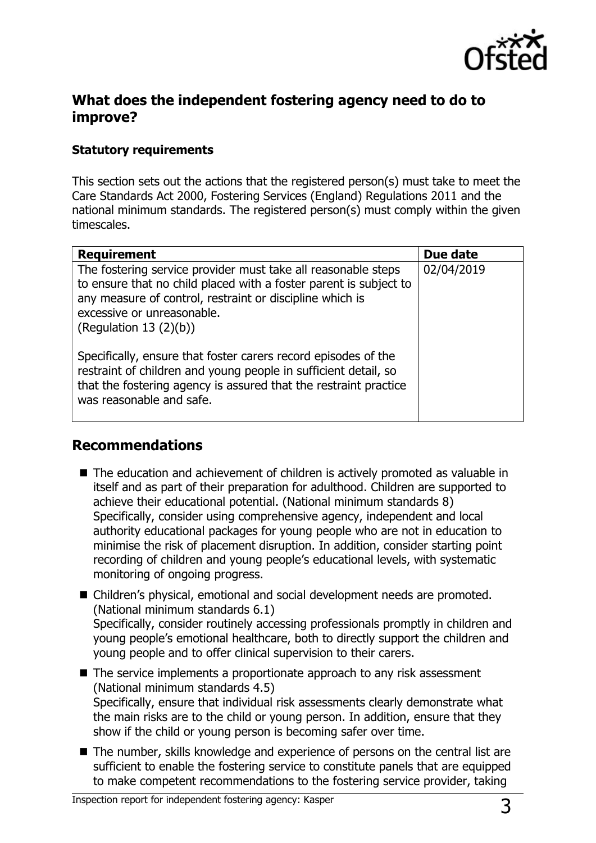

#### **What does the independent fostering agency need to do to improve?**

#### **Statutory requirements**

This section sets out the actions that the registered person(s) must take to meet the Care Standards Act 2000, Fostering Services (England) Regulations 2011 and the national minimum standards. The registered person(s) must comply within the given timescales.

| <b>Requirement</b>                                                                                                                                                                                                                                        | Due date   |
|-----------------------------------------------------------------------------------------------------------------------------------------------------------------------------------------------------------------------------------------------------------|------------|
| The fostering service provider must take all reasonable steps<br>to ensure that no child placed with a foster parent is subject to<br>any measure of control, restraint or discipline which is<br>excessive or unreasonable.<br>(Regulation 13 $(2)(b)$ ) | 02/04/2019 |
| Specifically, ensure that foster carers record episodes of the<br>restraint of children and young people in sufficient detail, so<br>that the fostering agency is assured that the restraint practice<br>was reasonable and safe.                         |            |

#### **Recommendations**

- The education and achievement of children is actively promoted as valuable in itself and as part of their preparation for adulthood. Children are supported to achieve their educational potential. (National minimum standards 8) Specifically, consider using comprehensive agency, independent and local authority educational packages for young people who are not in education to minimise the risk of placement disruption. In addition, consider starting point recording of children and young people's educational levels, with systematic monitoring of ongoing progress.
- Children's physical, emotional and social development needs are promoted. (National minimum standards 6.1) Specifically, consider routinely accessing professionals promptly in children and young people's emotional healthcare, both to directly support the children and young people and to offer clinical supervision to their carers.
- The service implements a proportionate approach to any risk assessment (National minimum standards 4.5) Specifically, ensure that individual risk assessments clearly demonstrate what the main risks are to the child or young person. In addition, ensure that they show if the child or young person is becoming safer over time.
- The number, skills knowledge and experience of persons on the central list are sufficient to enable the fostering service to constitute panels that are equipped to make competent recommendations to the fostering service provider, taking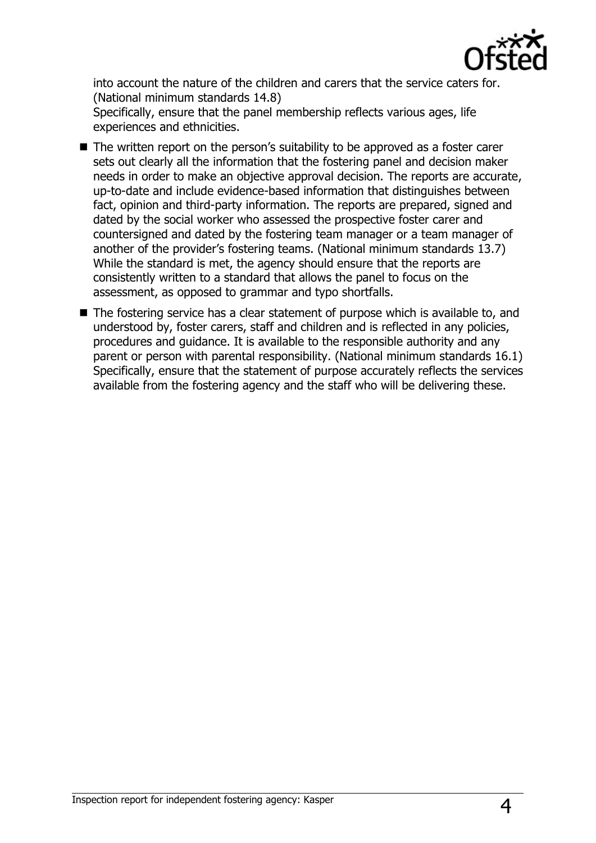

into account the nature of the children and carers that the service caters for. (National minimum standards 14.8)

Specifically, ensure that the panel membership reflects various ages, life experiences and ethnicities.

- The written report on the person's suitability to be approved as a foster carer sets out clearly all the information that the fostering panel and decision maker needs in order to make an objective approval decision. The reports are accurate, up-to-date and include evidence-based information that distinguishes between fact, opinion and third-party information. The reports are prepared, signed and dated by the social worker who assessed the prospective foster carer and countersigned and dated by the fostering team manager or a team manager of another of the provider's fostering teams. (National minimum standards 13.7) While the standard is met, the agency should ensure that the reports are consistently written to a standard that allows the panel to focus on the assessment, as opposed to grammar and typo shortfalls.
- $\blacksquare$  The fostering service has a clear statement of purpose which is available to, and understood by, foster carers, staff and children and is reflected in any policies, procedures and guidance. It is available to the responsible authority and any parent or person with parental responsibility. (National minimum standards 16.1) Specifically, ensure that the statement of purpose accurately reflects the services available from the fostering agency and the staff who will be delivering these.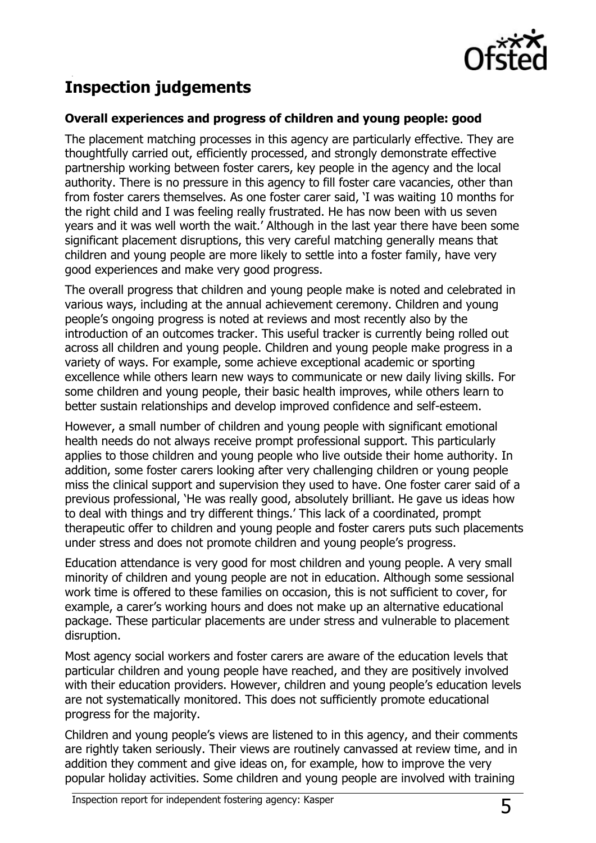

# **Inspection judgements**

#### **Overall experiences and progress of children and young people: good**

The placement matching processes in this agency are particularly effective. They are thoughtfully carried out, efficiently processed, and strongly demonstrate effective partnership working between foster carers, key people in the agency and the local authority. There is no pressure in this agency to fill foster care vacancies, other than from foster carers themselves. As one foster carer said, 'I was waiting 10 months for the right child and I was feeling really frustrated. He has now been with us seven years and it was well worth the wait.' Although in the last year there have been some significant placement disruptions, this very careful matching generally means that children and young people are more likely to settle into a foster family, have very good experiences and make very good progress.

The overall progress that children and young people make is noted and celebrated in various ways, including at the annual achievement ceremony. Children and young people's ongoing progress is noted at reviews and most recently also by the introduction of an outcomes tracker. This useful tracker is currently being rolled out across all children and young people. Children and young people make progress in a variety of ways. For example, some achieve exceptional academic or sporting excellence while others learn new ways to communicate or new daily living skills. For some children and young people, their basic health improves, while others learn to better sustain relationships and develop improved confidence and self-esteem.

However, a small number of children and young people with significant emotional health needs do not always receive prompt professional support. This particularly applies to those children and young people who live outside their home authority. In addition, some foster carers looking after very challenging children or young people miss the clinical support and supervision they used to have. One foster carer said of a previous professional, 'He was really good, absolutely brilliant. He gave us ideas how to deal with things and try different things.' This lack of a coordinated, prompt therapeutic offer to children and young people and foster carers puts such placements under stress and does not promote children and young people's progress.

Education attendance is very good for most children and young people. A very small minority of children and young people are not in education. Although some sessional work time is offered to these families on occasion, this is not sufficient to cover, for example, a carer's working hours and does not make up an alternative educational package. These particular placements are under stress and vulnerable to placement disruption.

Most agency social workers and foster carers are aware of the education levels that particular children and young people have reached, and they are positively involved with their education providers. However, children and young people's education levels are not systematically monitored. This does not sufficiently promote educational progress for the majority.

Children and young people's views are listened to in this agency, and their comments are rightly taken seriously. Their views are routinely canvassed at review time, and in addition they comment and give ideas on, for example, how to improve the very popular holiday activities. Some children and young people are involved with training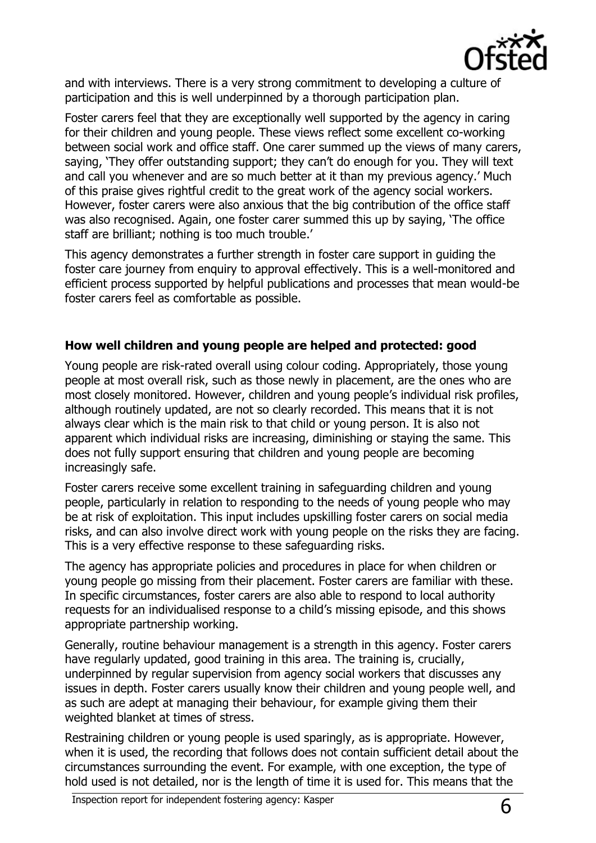

and with interviews. There is a very strong commitment to developing a culture of participation and this is well underpinned by a thorough participation plan.

Foster carers feel that they are exceptionally well supported by the agency in caring for their children and young people. These views reflect some excellent co-working between social work and office staff. One carer summed up the views of many carers, saying, 'They offer outstanding support; they can't do enough for you. They will text and call you whenever and are so much better at it than my previous agency.' Much of this praise gives rightful credit to the great work of the agency social workers. However, foster carers were also anxious that the big contribution of the office staff was also recognised. Again, one foster carer summed this up by saying, 'The office staff are brilliant; nothing is too much trouble.'

This agency demonstrates a further strength in foster care support in guiding the foster care journey from enquiry to approval effectively. This is a well-monitored and efficient process supported by helpful publications and processes that mean would-be foster carers feel as comfortable as possible.

#### **How well children and young people are helped and protected: good**

Young people are risk-rated overall using colour coding. Appropriately, those young people at most overall risk, such as those newly in placement, are the ones who are most closely monitored. However, children and young people's individual risk profiles, although routinely updated, are not so clearly recorded. This means that it is not always clear which is the main risk to that child or young person. It is also not apparent which individual risks are increasing, diminishing or staying the same. This does not fully support ensuring that children and young people are becoming increasingly safe.

Foster carers receive some excellent training in safeguarding children and young people, particularly in relation to responding to the needs of young people who may be at risk of exploitation. This input includes upskilling foster carers on social media risks, and can also involve direct work with young people on the risks they are facing. This is a very effective response to these safeguarding risks.

The agency has appropriate policies and procedures in place for when children or young people go missing from their placement. Foster carers are familiar with these. In specific circumstances, foster carers are also able to respond to local authority requests for an individualised response to a child's missing episode, and this shows appropriate partnership working.

Generally, routine behaviour management is a strength in this agency. Foster carers have regularly updated, good training in this area. The training is, crucially, underpinned by regular supervision from agency social workers that discusses any issues in depth. Foster carers usually know their children and young people well, and as such are adept at managing their behaviour, for example giving them their weighted blanket at times of stress.

Restraining children or young people is used sparingly, as is appropriate. However, when it is used, the recording that follows does not contain sufficient detail about the circumstances surrounding the event. For example, with one exception, the type of hold used is not detailed, nor is the length of time it is used for. This means that the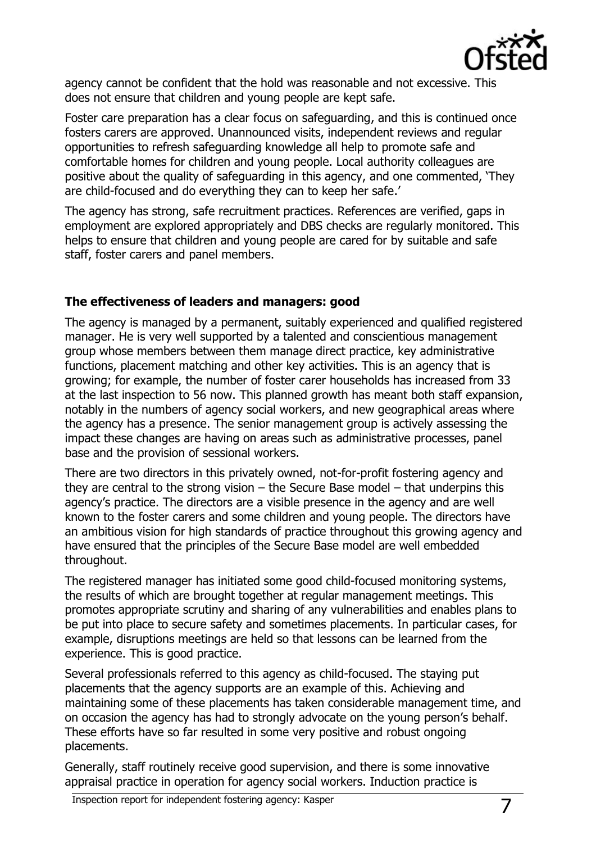

agency cannot be confident that the hold was reasonable and not excessive. This does not ensure that children and young people are kept safe.

Foster care preparation has a clear focus on safeguarding, and this is continued once fosters carers are approved. Unannounced visits, independent reviews and regular opportunities to refresh safeguarding knowledge all help to promote safe and comfortable homes for children and young people. Local authority colleagues are positive about the quality of safeguarding in this agency, and one commented, 'They are child-focused and do everything they can to keep her safe.'

The agency has strong, safe recruitment practices. References are verified, gaps in employment are explored appropriately and DBS checks are regularly monitored. This helps to ensure that children and young people are cared for by suitable and safe staff, foster carers and panel members.

#### **The effectiveness of leaders and managers: good**

The agency is managed by a permanent, suitably experienced and qualified registered manager. He is very well supported by a talented and conscientious management group whose members between them manage direct practice, key administrative functions, placement matching and other key activities. This is an agency that is growing; for example, the number of foster carer households has increased from 33 at the last inspection to 56 now. This planned growth has meant both staff expansion, notably in the numbers of agency social workers, and new geographical areas where the agency has a presence. The senior management group is actively assessing the impact these changes are having on areas such as administrative processes, panel base and the provision of sessional workers.

There are two directors in this privately owned, not-for-profit fostering agency and they are central to the strong vision – the Secure Base model – that underpins this agency's practice. The directors are a visible presence in the agency and are well known to the foster carers and some children and young people. The directors have an ambitious vision for high standards of practice throughout this growing agency and have ensured that the principles of the Secure Base model are well embedded throughout.

The registered manager has initiated some good child-focused monitoring systems, the results of which are brought together at regular management meetings. This promotes appropriate scrutiny and sharing of any vulnerabilities and enables plans to be put into place to secure safety and sometimes placements. In particular cases, for example, disruptions meetings are held so that lessons can be learned from the experience. This is good practice.

Several professionals referred to this agency as child-focused. The staying put placements that the agency supports are an example of this. Achieving and maintaining some of these placements has taken considerable management time, and on occasion the agency has had to strongly advocate on the young person's behalf. These efforts have so far resulted in some very positive and robust ongoing placements.

Generally, staff routinely receive good supervision, and there is some innovative appraisal practice in operation for agency social workers. Induction practice is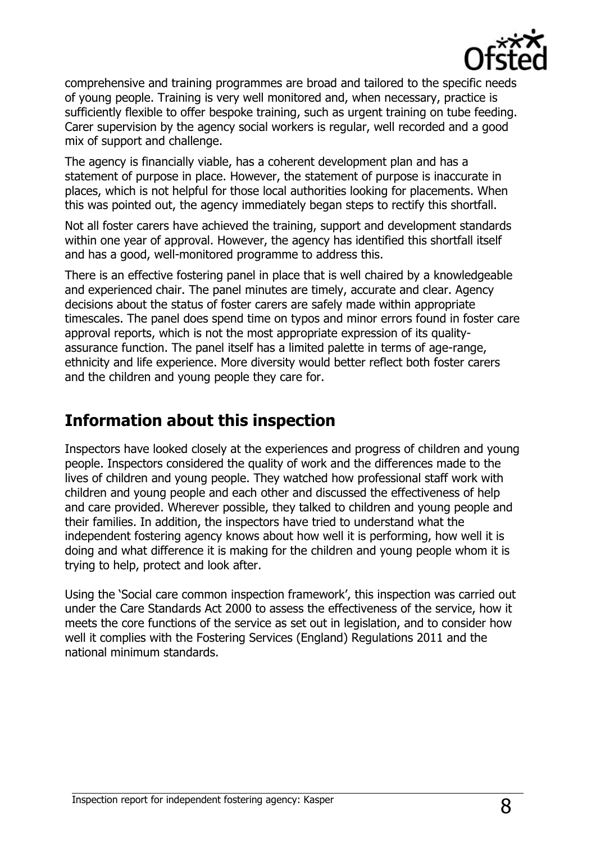

comprehensive and training programmes are broad and tailored to the specific needs of young people. Training is very well monitored and, when necessary, practice is sufficiently flexible to offer bespoke training, such as urgent training on tube feeding. Carer supervision by the agency social workers is regular, well recorded and a good mix of support and challenge.

The agency is financially viable, has a coherent development plan and has a statement of purpose in place. However, the statement of purpose is inaccurate in places, which is not helpful for those local authorities looking for placements. When this was pointed out, the agency immediately began steps to rectify this shortfall.

Not all foster carers have achieved the training, support and development standards within one year of approval. However, the agency has identified this shortfall itself and has a good, well-monitored programme to address this.

There is an effective fostering panel in place that is well chaired by a knowledgeable and experienced chair. The panel minutes are timely, accurate and clear. Agency decisions about the status of foster carers are safely made within appropriate timescales. The panel does spend time on typos and minor errors found in foster care approval reports, which is not the most appropriate expression of its qualityassurance function. The panel itself has a limited palette in terms of age-range, ethnicity and life experience. More diversity would better reflect both foster carers and the children and young people they care for.

# **Information about this inspection**

Inspectors have looked closely at the experiences and progress of children and young people. Inspectors considered the quality of work and the differences made to the lives of children and young people. They watched how professional staff work with children and young people and each other and discussed the effectiveness of help and care provided. Wherever possible, they talked to children and young people and their families. In addition, the inspectors have tried to understand what the independent fostering agency knows about how well it is performing, how well it is doing and what difference it is making for the children and young people whom it is trying to help, protect and look after.

Using the 'Social care common inspection framework', this inspection was carried out under the Care Standards Act 2000 to assess the effectiveness of the service, how it meets the core functions of the service as set out in legislation, and to consider how well it complies with the Fostering Services (England) Regulations 2011 and the national minimum standards.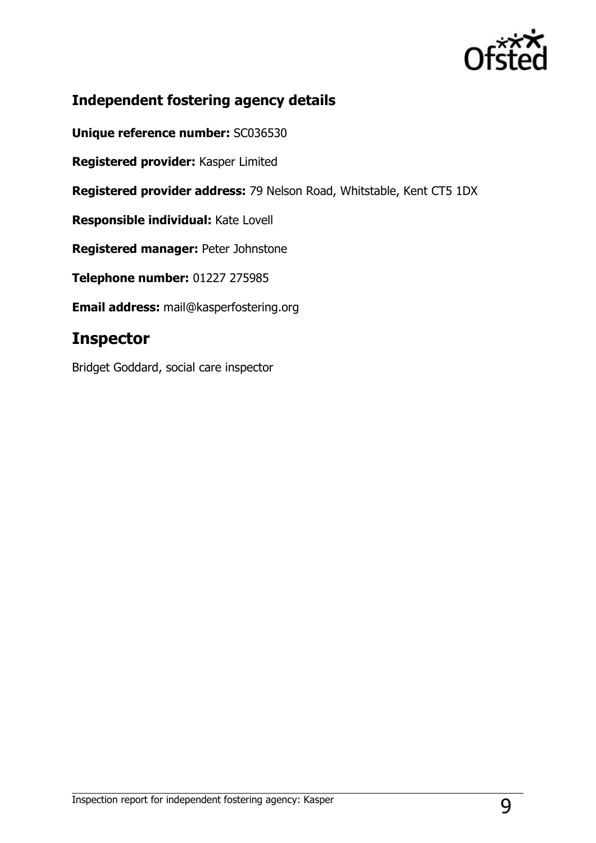

### **Independent fostering agency details**

**Unique reference number:** SC036530

**Registered provider:** Kasper Limited

**Registered provider address:** 79 Nelson Road, Whitstable, Kent CT5 1DX

**Responsible individual:** Kate Lovell

**Registered manager:** Peter Johnstone

**Telephone number:** 01227 275985

**Email address:** [mail@kasperfostering.org](mailto:mail@kasperfostering.org)

## **Inspector**

Bridget Goddard, social care inspector